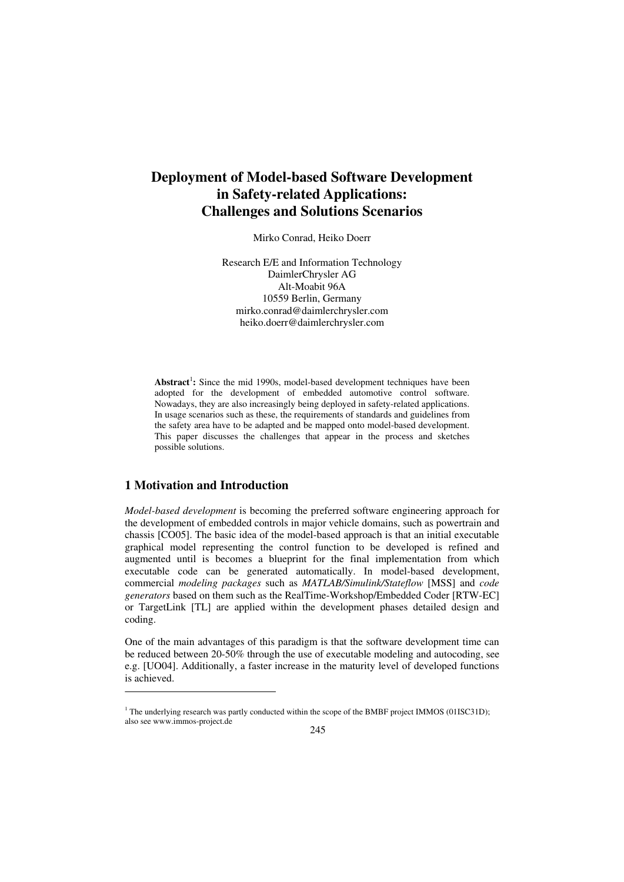# **Deployment of Model-based Software Development in Safety-related Applications: Challenges and Solutions Scenarios**

Mirko Conrad, Heiko Doerr

Research E/E and Information Technology DaimlerChrysler AG Alt-Moabit 96A 10559 Berlin, Germany mirko.conrad@daimlerchrysler.com heiko.doerr@daimlerchrysler.com

Abstract<sup>1</sup>: Since the mid 1990s, model-based development techniques have been adopted for the development of embedded automotive control software. Nowadays, they are also increasingly being deployed in safety-related applications. In usage scenarios such as these, the requirements of standards and guidelines from the safety area have to be adapted and be mapped onto model-based development. This paper discusses the challenges that appear in the process and sketches possible solutions.

# **1 Motivation and Introduction**

 $\overline{a}$ 

*Model-based development* is becoming the preferred software engineering approach for the development of embedded controls in major vehicle domains, such as powertrain and chassis [CO05]. The basic idea of the model-based approach is that an initial executable graphical model representing the control function to be developed is refined and augmented until is becomes a blueprint for the final implementation from which executable code can be generated automatically. In model-based development, commercial *modeling packages* such as *MATLAB/Simulink/Stateflow* [MSS] and *code generators* based on them such as the RealTime-Workshop/Embedded Coder [RTW-EC] or TargetLink [TL] are applied within the development phases detailed design and coding.

One of the main advantages of this paradigm is that the software development time can be reduced between 20-50% through the use of executable modeling and autocoding, see e.g. [UO04]. Additionally, a faster increase in the maturity level of developed functions is achieved.

<sup>&</sup>lt;sup>1</sup> The underlying research was partly conducted within the scope of the BMBF project IMMOS (01ISC31D); also see www.immos-project.de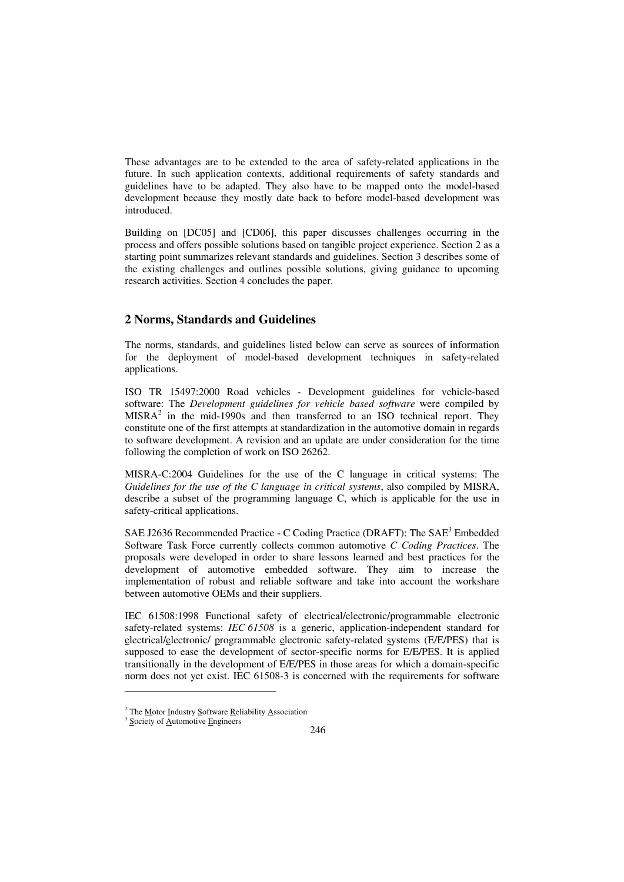These advantages are to be extended to the area of safety-related applications in the future. In such application contexts, additional requirements of safety standards and guidelines have to be adapted. They also have to be mapped onto the model-based development because they mostly date back to before model-based development was introduced.

Building on [DC05] and [CD06], this paper discusses challenges occurring in the process and offers possible solutions based on tangible project experience. Section 2 as a starting point summarizes relevant standards and guidelines. Section 3 describes some of the existing challenges and outlines possible solutions, giving guidance to upcoming research activities. Section 4 concludes the paper.

# **2 Norms, Standards and Guidelines**

The norms, standards, and guidelines listed below can serve as sources of information for the deployment of model-based development techniques in safety-related applications.

ISO TR 15497:2000 Road vehicles - Development guidelines for vehicle-based software: The *Development guidelines for vehicle based software* were compiled by  $MISRA<sup>2</sup>$  in the mid-1990s and then transferred to an ISO technical report. They constitute one of the first attempts at standardization in the automotive domain in regards to software development. A revision and an update are under consideration for the time following the completion of work on ISO 26262.

MISRA-C:2004 Guidelines for the use of the C language in critical systems: The *Guidelines for the use of the C language in critical systems*, also compiled by MISRA, describe a subset of the programming language C, which is applicable for the use in safety-critical applications.

SAE J2636 Recommended Practice - C Coding Practice (DRAFT): The SAE<sup>3</sup> Embedded Software Task Force currently collects common automotive *C Coding Practices*. The proposals were developed in order to share lessons learned and best practices for the development of automotive embedded software. They aim to increase the implementation of robust and reliable software and take into account the workshare between automotive OEMs and their suppliers.

IEC 61508:1998 Functional safety of electrical/electronic/programmable electronic safety-related systems: *IEC 61508* is a generic, application-independent standard for electrical/electronic/ programmable electronic safety-related systems (E/E/PES) that is supposed to ease the development of sector-specific norms for E/E/PES. It is applied transitionally in the development of E/E/PES in those areas for which a domain-specific norm does not vet exist. IEC 61508-3 is concerned with the requirements for software

-

<sup>&</sup>lt;sup>2</sup> The Motor Industry Software Reliability Association

 $3$  Society of Automotive Engineers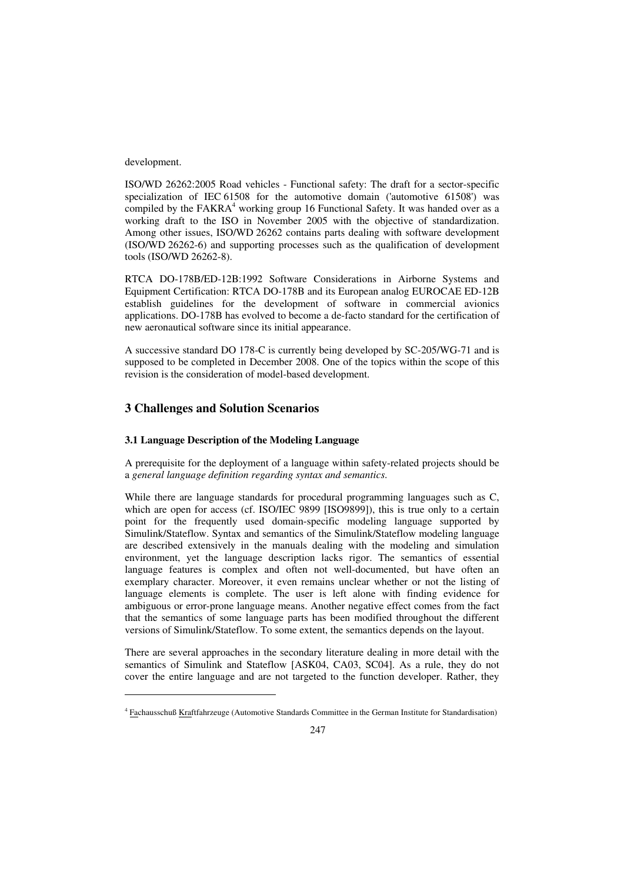development.

 $\overline{a}$ 

ISO/WD 26262:2005 Road vehicles - Functional safety: The draft for a sector-specific specialization of IEC 61508 for the automotive domain ('automotive 61508') was compiled by the FAKRA<sup>4</sup> working group 16 Functional Safety. It was handed over as a working draft to the ISO in November 2005 with the objective of standardization. Among other issues, ISO/WD 26262 contains parts dealing with software development (ISO/WD 26262-6) and supporting processes such as the qualification of development tools (ISO/WD 26262-8).

RTCA DO-178B/ED-12B:1992 Software Considerations in Airborne Systems and Equipment Certification: RTCA DO-178B and its European analog EUROCAE ED-12B establish guidelines for the development of software in commercial avionics applications. DO-178B has evolved to become a de-facto standard for the certification of new aeronautical software since its initial appearance.

A successive standard DO 178-C is currently being developed by SC-205/WG-71 and is supposed to be completed in December 2008. One of the topics within the scope of this revision is the consideration of model-based development.

# **3 Challenges and Solution Scenarios**

# **3.1 Language Description of the Modeling Language**

A prerequisite for the deployment of a language within safety-related projects should be a *general language definition regarding syntax and semantics*.

While there are language standards for procedural programming languages such as C, which are open for access (cf. ISO/IEC 9899 [ISO9899]), this is true only to a certain point for the frequently used domain-specific modeling language supported by Simulink/Stateflow. Syntax and semantics of the Simulink/Stateflow modeling language are described extensively in the manuals dealing with the modeling and simulation environment, yet the language description lacks rigor. The semantics of essential language features is complex and often not well-documented, but have often an exemplary character. Moreover, it even remains unclear whether or not the listing of language elements is complete. The user is left alone with finding evidence for ambiguous or error-prone language means. Another negative effect comes from the fact that the semantics of some language parts has been modified throughout the different versions of Simulink/Stateflow. To some extent, the semantics depends on the layout.

There are several approaches in the secondary literature dealing in more detail with the semantics of Simulink and Stateflow [ASK04, CA03, SC04]. As a rule, they do not cover the entire language and are not targeted to the function developer. Rather, they

<sup>&</sup>lt;sup>4</sup> Fachausschuß Kraftfahrzeuge (Automotive Standards Committee in the German Institute for Standardisation)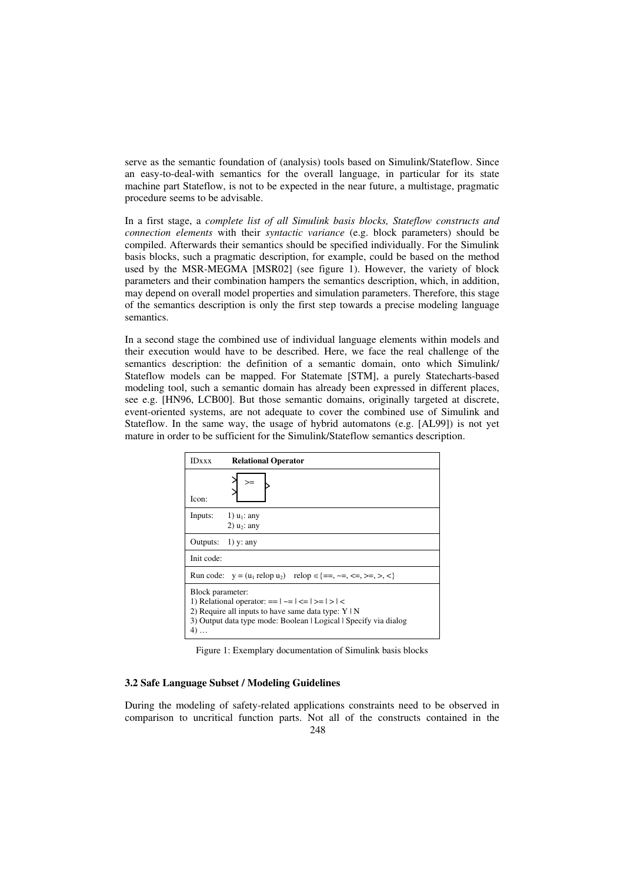serve as the semantic foundation of (analysis) tools based on Simulink/Stateflow. Since an easy-to-deal-with semantics for the overall language, in particular for its state machine part Stateflow, is not to be expected in the near future, a multistage, pragmatic procedure seems to be advisable.

In a first stage, a *complete list of all Simulink basis blocks, Stateflow constructs and connection elements* with their *syntactic variance* (e.g. block parameters) should be compiled. Afterwards their semantics should be specified individually. For the Simulink basis blocks, such a pragmatic description, for example, could be based on the method used by the MSR-MEGMA [MSR02] (see figure 1). However, the variety of block parameters and their combination hampers the semantics description, which, in addition, may depend on overall model properties and simulation parameters. Therefore, this stage of the semantics description is only the first step towards a precise modeling language semantics.

In a second stage the combined use of individual language elements within models and their execution would have to be described. Here, we face the real challenge of the semantics description: the definition of a semantic domain, onto which Simulink/ Stateflow models can be mapped. For Statemate [STM], a purely Statecharts-based modeling tool, such a semantic domain has already been expressed in different places, see e.g. [HN96, LCB00]. But those semantic domains, originally targeted at discrete, event-oriented systems, are not adequate to cover the combined use of Simulink and Stateflow. In the same way, the usage of hybrid automatons (e.g. [AL99]) is not yet mature in order to be sufficient for the Simulink/Stateflow semantics description.

| <b>IDxxx</b>                                                                                                                                                                                                         | <b>Relational Operator</b> |  |  |  |
|----------------------------------------------------------------------------------------------------------------------------------------------------------------------------------------------------------------------|----------------------------|--|--|--|
| Icon:                                                                                                                                                                                                                |                            |  |  |  |
| Inputs: $1)$ $u_1$ : any                                                                                                                                                                                             | 2) $u_2$ : any             |  |  |  |
| Outputs: $1)$ y: any                                                                                                                                                                                                 |                            |  |  |  |
| Init code:                                                                                                                                                                                                           |                            |  |  |  |
| Run code: $y = (u_1 \text{ relop } u_2)$ relop $\in \{ ==, \sim =, \lt =, \gt =, \gt, \lt \}$                                                                                                                        |                            |  |  |  |
| Block parameter:<br>1) Relational operator: $==  \sim =   \lt =   \gt =   \gt   \lt$<br>2) Require all inputs to have same data type: $Y \mid N$<br>3) Output data type mode: Boolean   Logical   Specify via dialog |                            |  |  |  |

Figure 1: Exemplary documentation of Simulink basis blocks

### **3.2 Safe Language Subset / Modeling Guidelines**

During the modeling of safety-related applications constraints need to be observed in comparison to uncritical function parts. Not all of the constructs contained in the 248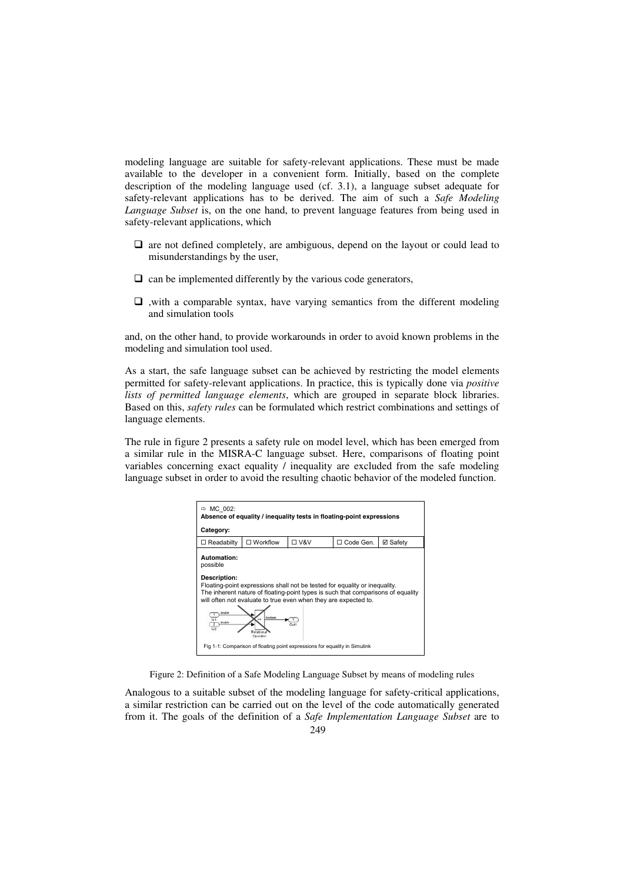modeling language are suitable for safety-relevant applications. These must be made available to the developer in a convenient form. Initially, based on the complete description of the modeling language used (cf. 3.1), a language subset adequate for safety-relevant applications has to be derived. The aim of such a *Safe Modeling Language Subset* is, on the one hand, to prevent language features from being used in safety-relevant applications, which

- $\Box$  are not defined completely, are ambiguous, depend on the layout or could lead to misunderstandings by the user,
- $\Box$  can be implemented differently by the various code generators,
- $\Box$ , with a comparable syntax, have varying semantics from the different modeling and simulation tools

and, on the other hand, to provide workarounds in order to avoid known problems in the modeling and simulation tool used.

As a start, the safe language subset can be achieved by restricting the model elements permitted for safety-relevant applications. In practice, this is typically done via *positive lists of permitted language elements*, which are grouped in separate block libraries. Based on this, *safety rules* can be formulated which restrict combinations and settings of language elements.

The rule in figure 2 presents a safety rule on model level, which has been emerged from a similar rule in the MISRA-C language subset. Here, comparisons of floating point variables concerning exact equality / inequality are excluded from the safe modeling language subset in order to avoid the resulting chaotic behavior of the modeled function.

| $\Rightarrow$ MC 002:<br>Absence of equality / inequality tests in floating-point expressions                                                                                                                                                                                                            |                                                                |  |  |  |  |  |  |  |
|----------------------------------------------------------------------------------------------------------------------------------------------------------------------------------------------------------------------------------------------------------------------------------------------------------|----------------------------------------------------------------|--|--|--|--|--|--|--|
| Category:                                                                                                                                                                                                                                                                                                |                                                                |  |  |  |  |  |  |  |
| $\Box$ Readabilty                                                                                                                                                                                                                                                                                        | <b>□ V&amp;V</b><br>$\Box$ Workflow<br>□ Code Gen.<br>⊠ Safety |  |  |  |  |  |  |  |
| Automation:<br>possible<br>Description:<br>Floating-point expressions shall not be tested for equality or inequality.<br>The inherent nature of floating-point types is such that comparisons of equality<br>will often not evaluate to true even when they are expected to.<br>hoolean<br>In'<br>double |                                                                |  |  |  |  |  |  |  |
| Fig 1-1: Comparison of floating point expressions for equality in Simulink                                                                                                                                                                                                                               |                                                                |  |  |  |  |  |  |  |

Figure 2: Definition of a Safe Modeling Language Subset by means of modeling rules

Analogous to a suitable subset of the modeling language for safety-critical applications, a similar restriction can be carried out on the level of the code automatically generated from it. The goals of the definition of a *Safe Implementation Language Subset* are to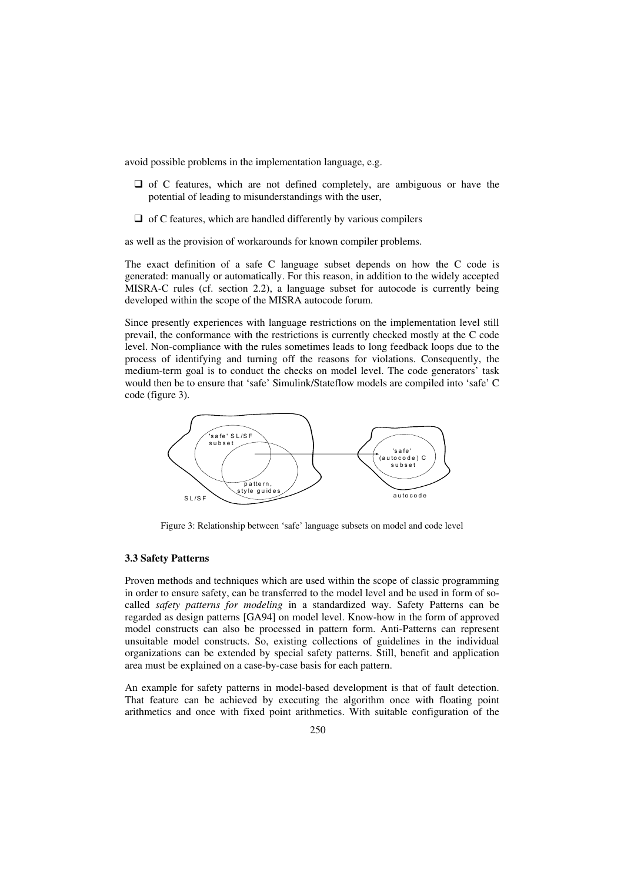avoid possible problems in the implementation language, e.g.

- $\Box$  of C features, which are not defined completely, are ambiguous or have the potential of leading to misunderstandings with the user,
- $\Box$  of C features, which are handled differently by various compilers

as well as the provision of workarounds for known compiler problems.

The exact definition of a safe C language subset depends on how the C code is generated: manually or automatically. For this reason, in addition to the widely accepted MISRA-C rules (cf. section 2.2), a language subset for autocode is currently being developed within the scope of the MISRA autocode forum.

Since presently experiences with language restrictions on the implementation level still prevail, the conformance with the restrictions is currently checked mostly at the C code level. Non-compliance with the rules sometimes leads to long feedback loops due to the process of identifying and turning off the reasons for violations. Consequently, the medium-term goal is to conduct the checks on model level. The code generators' task would then be to ensure that 'safe' Simulink/Stateflow models are compiled into 'safe' C code (figure 3).



Figure 3: Relationship between 'safe' language subsets on model and code level

#### **3.3 Safety Patterns**

Proven methods and techniques which are used within the scope of classic programming in order to ensure safety, can be transferred to the model level and be used in form of socalled *safety patterns for modeling* in a standardized way. Safety Patterns can be regarded as design patterns [GA94] on model level. Know-how in the form of approved model constructs can also be processed in pattern form. Anti-Patterns can represent unsuitable model constructs. So, existing collections of guidelines in the individual organizations can be extended by special safety patterns. Still, benefit and application area must be explained on a case-by-case basis for each pattern.

An example for safety patterns in model-based development is that of fault detection. That feature can be achieved by executing the algorithm once with floating point arithmetics and once with fixed point arithmetics. With suitable configuration of the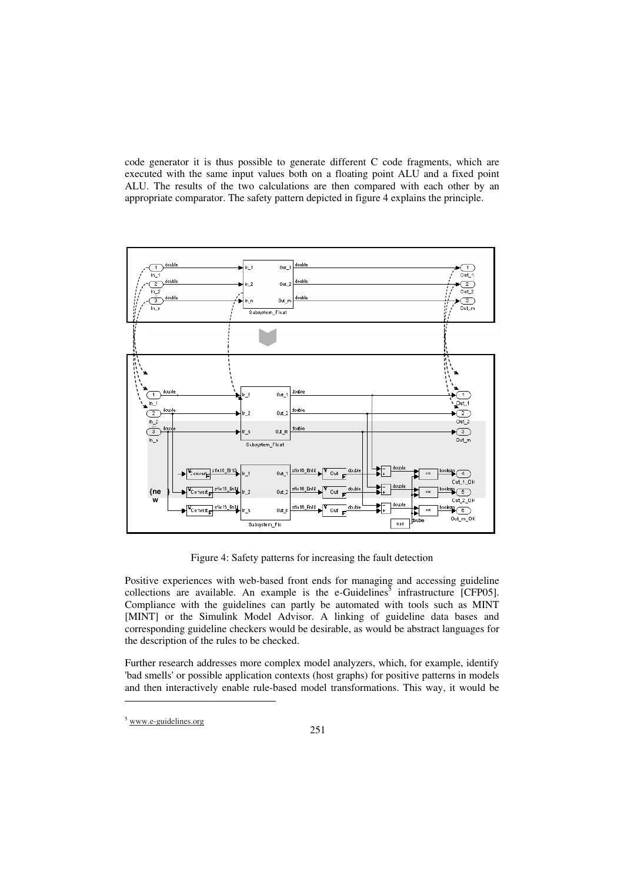code generator it is thus possible to generate different C code fragments, which are executed with the same input values both on a floating point ALU and a fixed point ALU. The results of the two calculations are then compared with each other by an appropriate comparator. The safety pattern depicted in figure 4 explains the principle.



Figure 4: Safety patterns for increasing the fault detection

Positive experiences with web-based front ends for managing and accessing guideline collections are available. An example is the e-Guidelines<sup>5</sup> infrastructure [CFP05]. Compliance with the guidelines can partly be automated with tools such as MINT [MINT] or the Simulink Model Advisor. A linking of guideline data bases and corresponding guideline checkers would be desirable, as would be abstract languages for the description of the rules to be checked.

Further research addresses more complex model analyzers, which, for example, identify 'bad smells' or possible application contexts (host graphs) for positive patterns in models and then interactively enable rule-based model transformations. This way, it would be

 $\overline{a}$ 

<sup>5</sup> www.e-guidelines.org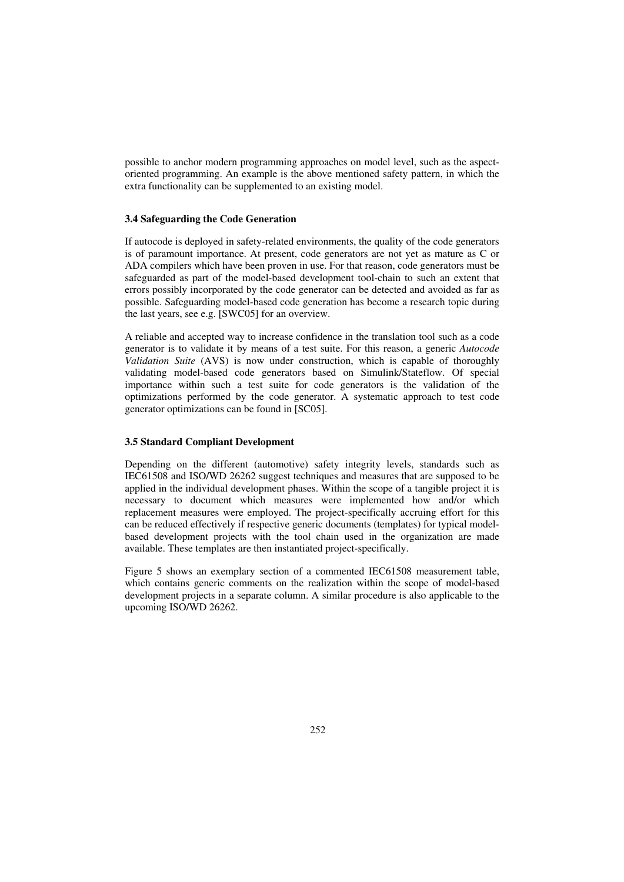possible to anchor modern programming approaches on model level, such as the aspectoriented programming. An example is the above mentioned safety pattern, in which the extra functionality can be supplemented to an existing model.

## **3.4 Safeguarding the Code Generation**

If autocode is deployed in safety-related environments, the quality of the code generators is of paramount importance. At present, code generators are not yet as mature as C or ADA compilers which have been proven in use. For that reason, code generators must be safeguarded as part of the model-based development tool-chain to such an extent that errors possibly incorporated by the code generator can be detected and avoided as far as possible. Safeguarding model-based code generation has become a research topic during the last years, see e.g. [SWC05] for an overview.

A reliable and accepted way to increase confidence in the translation tool such as a code generator is to validate it by means of a test suite. For this reason, a generic *Autocode Validation Suite* (AVS) is now under construction, which is capable of thoroughly validating model-based code generators based on Simulink/Stateflow. Of special importance within such a test suite for code generators is the validation of the optimizations performed by the code generator. A systematic approach to test code generator optimizations can be found in [SC05].

### **3.5 Standard Compliant Development**

Depending on the different (automotive) safety integrity levels, standards such as IEC61508 and ISO/WD 26262 suggest techniques and measures that are supposed to be applied in the individual development phases. Within the scope of a tangible project it is necessary to document which measures were implemented how and/or which replacement measures were employed. The project-specifically accruing effort for this can be reduced effectively if respective generic documents (templates) for typical modelbased development projects with the tool chain used in the organization are made available. These templates are then instantiated project-specifically.

Figure 5 shows an exemplary section of a commented IEC61508 measurement table, which contains generic comments on the realization within the scope of model-based development projects in a separate column. A similar procedure is also applicable to the upcoming ISO/WD 26262.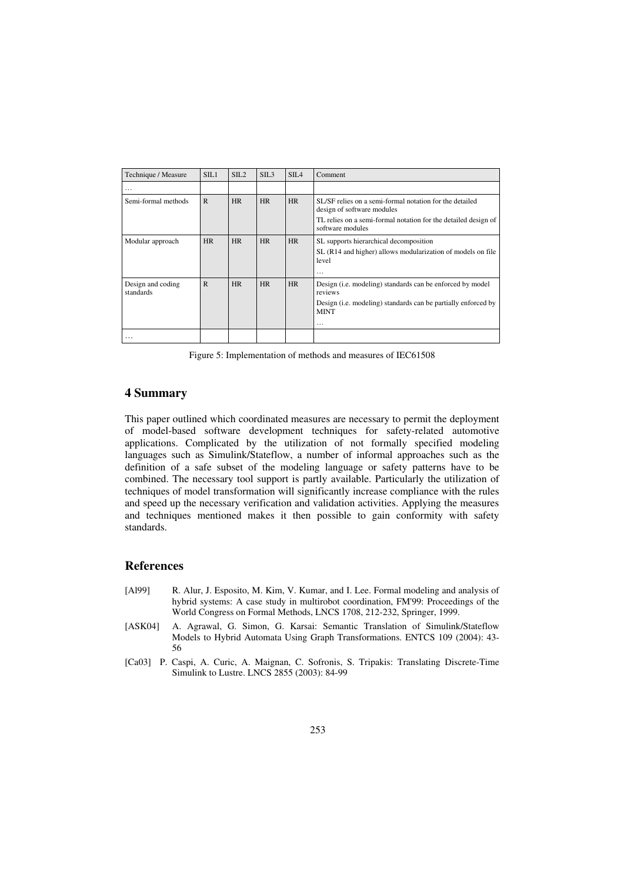| Technique / Measure            | STL1        | SIL <sub>2</sub> | SIL <sub>3</sub> | SIL <sub>4</sub> | Comment                                                                                                                                                                          |
|--------------------------------|-------------|------------------|------------------|------------------|----------------------------------------------------------------------------------------------------------------------------------------------------------------------------------|
| $\cdots$                       |             |                  |                  |                  |                                                                                                                                                                                  |
| Semi-formal methods            | $\mathbf R$ | <b>HR</b>        | HR               | HR               | SL/SF relies on a semi-formal notation for the detailed<br>design of software modules<br>TL relies on a semi-formal notation for the detailed design of<br>software modules      |
| Modular approach               | <b>HR</b>   | <b>HR</b>        | <b>HR</b>        | <b>HR</b>        | SL supports hierarchical decomposition<br>SL (R14 and higher) allows modularization of models on file<br>level<br>$\cdots$                                                       |
| Design and coding<br>standards | $\mathbf R$ | <b>HR</b>        | HR               | <b>HR</b>        | Design ( <i>i.e.</i> modeling) standards can be enforced by model<br>reviews<br>Design ( <i>i.e.</i> modeling) standards can be partially enforced by<br><b>MINT</b><br>$\cdots$ |
| $\cdots$                       |             |                  |                  |                  |                                                                                                                                                                                  |

Figure 5: Implementation of methods and measures of IEC61508

# **4 Summary**

This paper outlined which coordinated measures are necessary to permit the deployment of model-based software development techniques for safety-related automotive applications. Complicated by the utilization of not formally specified modeling languages such as Simulink/Stateflow, a number of informal approaches such as the definition of a safe subset of the modeling language or safety patterns have to be combined. The necessary tool support is partly available. Particularly the utilization of techniques of model transformation will significantly increase compliance with the rules and speed up the necessary verification and validation activities. Applying the measures and techniques mentioned makes it then possible to gain conformity with safety standards.

# **References**

- [Al99] R. Alur, J. Esposito, M. Kim, V. Kumar, and I. Lee. Formal modeling and analysis of hybrid systems: A case study in multirobot coordination, FM'99: Proceedings of the World Congress on Formal Methods, LNCS 1708, 212-232, Springer, 1999.
- [ASK04] A. Agrawal, G. Simon, G. Karsai: Semantic Translation of Simulink/Stateflow Models to Hybrid Automata Using Graph Transformations. ENTCS 109 (2004): 43- 56
- [Ca03] P. Caspi, A. Curic, A. Maignan, C. Sofronis, S. Tripakis: Translating Discrete-Time Simulink to Lustre. LNCS 2855 (2003): 84-99